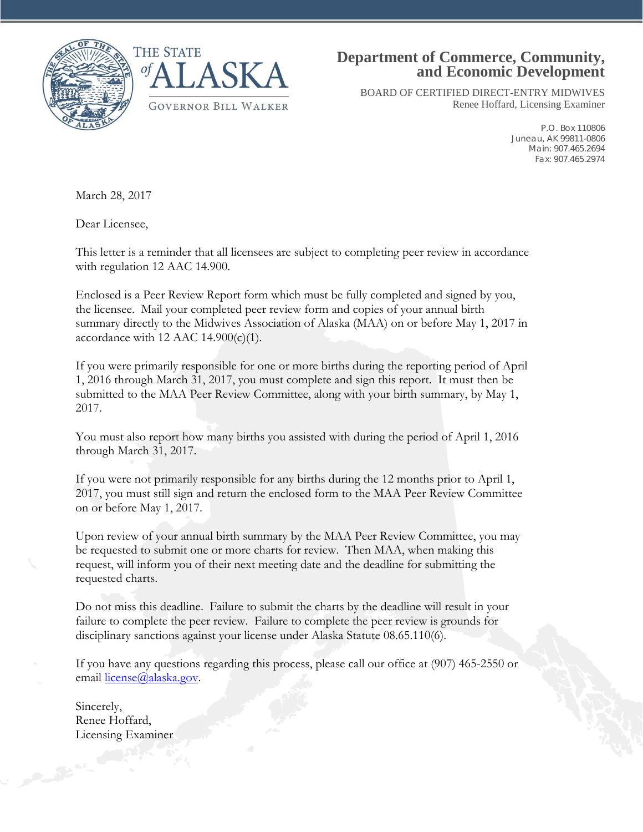



## **Department of Commerce, Community, and Economic Development**

BOARD OF CERTIFIED DIRECT-ENTRY MIDWIVES Renee Hoffard, Licensing Examiner

> P.O. Box 110806 Juneau, AK 99811-0806 Main: 907.465.2694 Fax: 907.465.2974

March 28, 2017

Dear Licensee,

This letter is a reminder that all licensees are subject to completing peer review in accordance with regulation 12 AAC 14.900.

Enclosed is a Peer Review Report form which must be fully completed and signed by you, the licensee. Mail your completed peer review form and copies of your annual birth summary directly to the Midwives Association of Alaska (MAA) on or before May 1, 2017 in accordance with 12 AAC 14.900 $(c)(1)$ .

If you were primarily responsible for one or more births during the reporting period of April 1, 2016 through March 31, 2017, you must complete and sign this report. It must then be submitted to the MAA Peer Review Committee, along with your birth summary, by May 1, 2017.

You must also report how many births you assisted with during the period of April 1, 2016 through March 31, 2017.

If you were not primarily responsible for any births during the 12 months prior to April 1, 2017, you must still sign and return the enclosed form to the MAA Peer Review Committee on or before May 1, 2017.

Upon review of your annual birth summary by the MAA Peer Review Committee, you may be requested to submit one or more charts for review. Then MAA, when making this request, will inform you of their next meeting date and the deadline for submitting the requested charts.

Do not miss this deadline. Failure to submit the charts by the deadline will result in your failure to complete the peer review. Failure to complete the peer review is grounds for disciplinary sanctions against your license under Alaska Statute 08.65.110(6).

If you have any questions regarding this process, please call our office at (907) 465-2550 or email [license@alaska.gov.](mailto:license@alaska.gov)

Sincerely, Renee Hoffard, Licensing Examiner